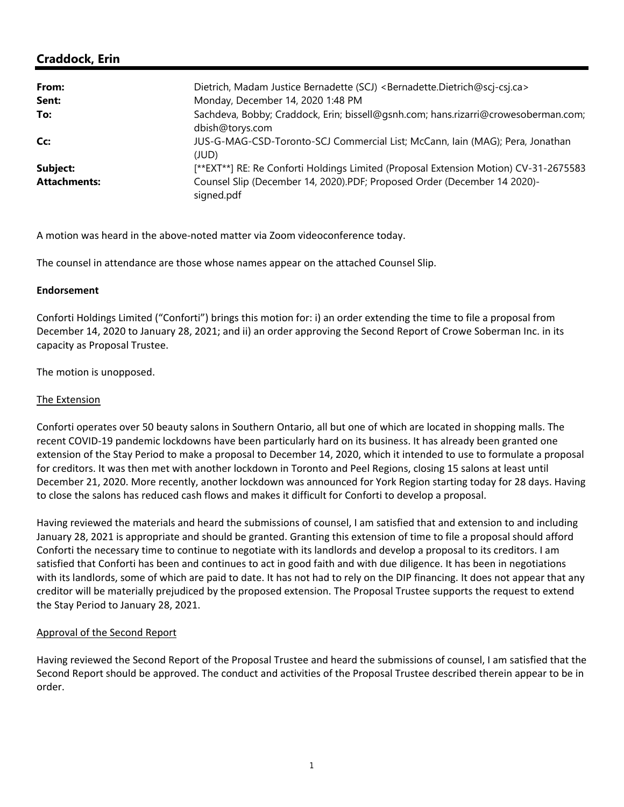$\sqrt{ }$ **Subject:** [\*\*EXT\*\*] RE: Re Conforti Holdings Limited (Proposal Extension Motion) CV-31-2675583 **Attachments:** Counsel Slip (December 14, 2020).PDF; Proposed Order (December 14 2020) signed.pdf

A motion was heard in the above‐noted matter via Zoom videoconference today.

The counsel in attendance are those whose names appear on the attached Counsel Slip.

## **Endorsement**

Conforti Holdings Limited ("Conforti") brings this motion for: i) an order extending the time to file a proposal from December 14, 2020 to January 28, 2021; and ii) an order approving the Second Report of Crowe Soberman Inc. in its capacity as Proposal Trustee.

The motion is unopposed.

## The Extension

Conforti operates over 50 beauty salons in Southern Ontario, all but one of which are located in shopping malls. The recent COVID‐19 pandemic lockdowns have been particularly hard on its business. It has already been granted one extension of the Stay Period to make a proposal to December 14, 2020, which it intended to use to formulate a proposal for creditors. It was then met with another lockdown in Toronto and Peel Regions, closing 15 salons at least until December 21, 2020. More recently, another lockdown was announced for York Region starting today for 28 days. Having to close the salons has reduced cash flows and makes it difficult for Conforti to develop a proposal.

Having reviewed the materials and heard the submissions of counsel, I am satisfied that and extension to and including January 28, 2021 is appropriate and should be granted. Granting this extension of time to file a proposal should afford Conforti the necessary time to continue to negotiate with its landlords and develop a proposal to its creditors. I am satisfied that Conforti has been and continues to act in good faith and with due diligence. It has been in negotiations with its landlords, some of which are paid to date. It has not had to rely on the DIP financing. It does not appear that any creditor will be materially prejudiced by the proposed extension. The Proposal Trustee supports the request to extend the Stay Period to January 28, 2021.

## Approval of the Second Report

Having reviewed the Second Report of the Proposal Trustee and heard the submissions of counsel, I am satisfied that the Second Report should be approved. The conduct and activities of the Proposal Trustee described therein appear to be in order.